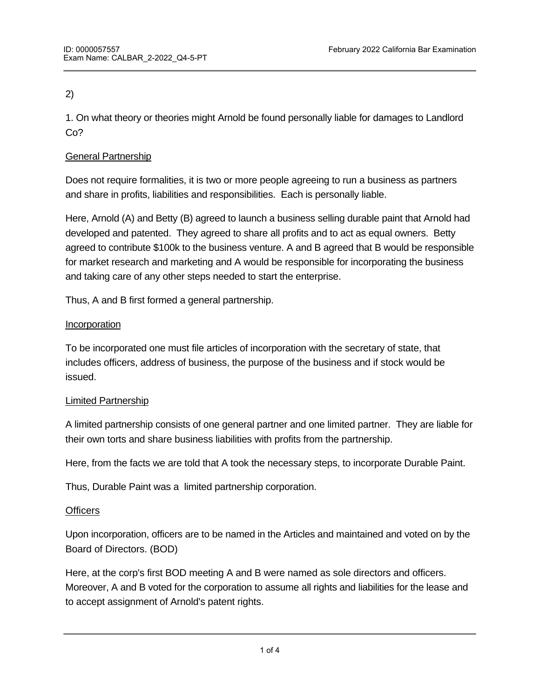# 2)

1. On what theory or theories might Arnold be found personally liable for damages to Landlord Co?

## General Partnership

Does not require formalities, it is two or more people agreeing to run a business as partners and share in profits, liabilities and responsibilities. Each is personally liable.

Here, Arnold (A) and Betty (B) agreed to launch a business selling durable paint that Arnold had developed and patented. They agreed to share all profits and to act as equal owners. Betty agreed to contribute \$100k to the business venture. A and B agreed that B would be responsible for market research and marketing and A would be responsible for incorporating the business and taking care of any other steps needed to start the enterprise.

Thus, A and B first formed a general partnership.

## **Incorporation**

To be incorporated one must file articles of incorporation with the secretary of state, that includes officers, address of business, the purpose of the business and if stock would be issued.

## Limited Partnership

A limited partnership consists of one general partner and one limited partner. They are liable for their own torts and share business liabilities with profits from the partnership.

Here, from the facts we are told that A took the necessary steps, to incorporate Durable Paint.

Thus, Durable Paint was a limited partnership corporation.

## **Officers**

Upon incorporation, officers are to be named in the Articles and maintained and voted on by the Board of Directors. (BOD)

Here, at the corp's first BOD meeting A and B were named as sole directors and officers. Moreover, A and B voted for the corporation to assume all rights and liabilities for the lease and to accept assignment of Arnold's patent rights.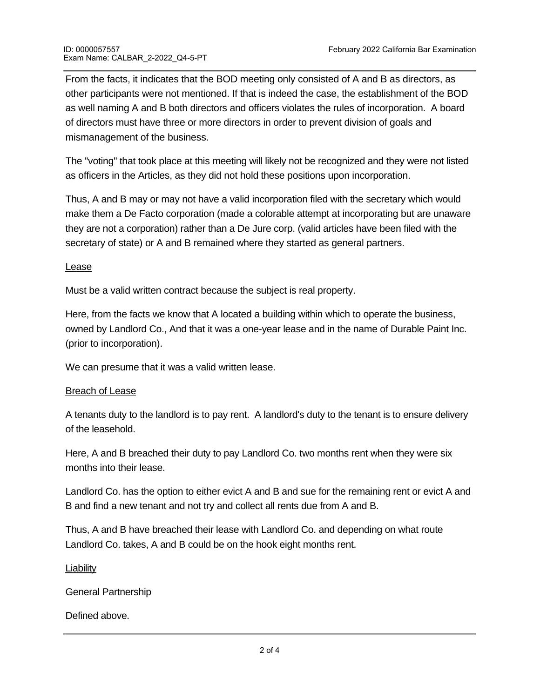From the facts, it indicates that the BOD meeting only consisted of A and B as directors, as other participants were not mentioned. If that is indeed the case, the establishment of the BOD as well naming A and B both directors and officers violates the rules of incorporation. A board of directors must have three or more directors in order to prevent division of goals and mismanagement of the business.

The "voting" that took place at this meeting will likely not be recognized and they were not listed as officers in the Articles, as they did not hold these positions upon incorporation.

Thus, A and B may or may not have a valid incorporation filed with the secretary which would make them a De Facto corporation (made a colorable attempt at incorporating but are unaware they are not a corporation) rather than a De Jure corp. (valid articles have been filed with the secretary of state) or A and B remained where they started as general partners.

#### Lease

Must be a valid written contract because the subject is real property.

Here, from the facts we know that A located a building within which to operate the business, owned by Landlord Co., And that it was a one-year lease and in the name of Durable Paint Inc. (prior to incorporation).

We can presume that it was a valid written lease.

#### Breach of Lease

A tenants duty to the landlord is to pay rent. A landlord's duty to the tenant is to ensure delivery of the leasehold.

Here, A and B breached their duty to pay Landlord Co. two months rent when they were six months into their lease.

Landlord Co. has the option to either evict A and B and sue for the remaining rent or evict A and B and find a new tenant and not try and collect all rents due from A and B.

Thus, A and B have breached their lease with Landlord Co. and depending on what route Landlord Co. takes, A and B could be on the hook eight months rent.

#### Liability

General Partnership

#### Defined above.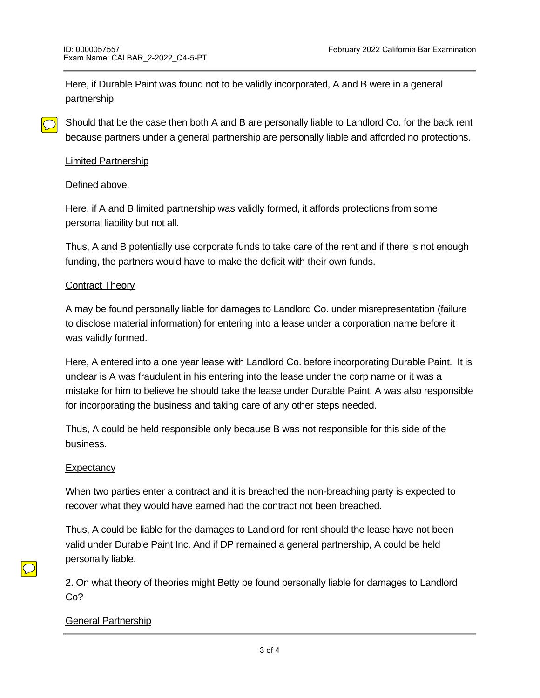Here, if Durable Paint was found not to be validly incorporated, A and B were in a general partnership.

Should that be the case then both A and B are personally liable to Landlord Co. for the back rent because partners under a general partnership are personally liable and afforded no protections.

#### Limited Partnership

Defined above.

Here, if A and B limited partnership was validly formed, it affords protections from some personal liability but not all.

Thus, A and B potentially use corporate funds to take care of the rent and if there is not enough funding, the partners would have to make the deficit with their own funds.

### Contract Theory

A may be found personally liable for damages to Landlord Co. under misrepresentation (failure to disclose material information) for entering into a lease under a corporation name before it was validly formed.

Here, A entered into a one year lease with Landlord Co. before incorporating Durable Paint. It is unclear is A was fraudulent in his entering into the lease under the corp name or it was a mistake for him to believe he should take the lease under Durable Paint. A was also responsible for incorporating the business and taking care of any other steps needed.

Thus, A could be held responsible only because B was not responsible for this side of the business.

#### **Expectancy**

When two parties enter a contract and it is breached the non-breaching party is expected to recover what they would have earned had the contract not been breached.

Thus, A could be liable for the damages to Landlord for rent should the lease have not been valid under Durable Paint Inc. And if DP remained a general partnership, A could be held personally liable.

2. On what theory of theories might Betty be found personally liable for damages to Landlord Co?

#### General Partnership